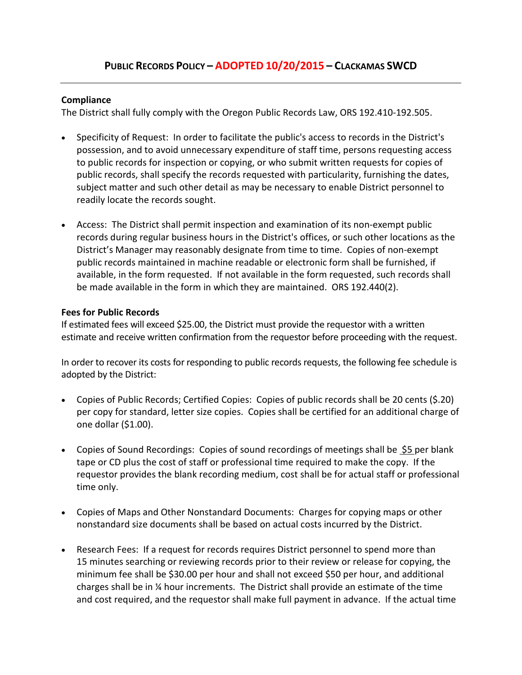### **Compliance**

The District shall fully comply with the Oregon Public Records Law, ORS 192.410-192.505.

- Specificity of Request: In order to facilitate the public's access to records in the District's possession, and to avoid unnecessary expenditure of staff time, persons requesting access to public records for inspection or copying, or who submit written requests for copies of public records, shall specify the records requested with particularity, furnishing the dates, subject matter and such other detail as may be necessary to enable District personnel to readily locate the records sought.
- Access: The District shall permit inspection and examination of its non-exempt public records during regular business hours in the District's offices, or such other locations as the District's Manager may reasonably designate from time to time. Copies of non-exempt public records maintained in machine readable or electronic form shall be furnished, if available, in the form requested. If not available in the form requested, such records shall be made available in the form in which they are maintained. ORS 192.440(2).

## **Fees for Public Records**

If estimated fees will exceed \$25.00, the District must provide the requestor with a written estimate and receive written confirmation from the requestor before proceeding with the request.

In order to recover its costs for responding to public records requests, the following fee schedule is adopted by the District:

- Copies of Public Records; Certified Copies: Copies of public records shall be 20 cents (\$.20) per copy for standard, letter size copies. Copies shall be certified for an additional charge of one dollar (\$1.00).
- Copies of Sound Recordings: Copies of sound recordings of meetings shall be \$5 per blank tape or CD plus the cost of staff or professional time required to make the copy. If the requestor provides the blank recording medium, cost shall be for actual staff or professional time only.
- Copies of Maps and Other Nonstandard Documents: Charges for copying maps or other nonstandard size documents shall be based on actual costs incurred by the District.
- Research Fees: If a request for records requires District personnel to spend more than 15 minutes searching or reviewing records prior to their review or release for copying, the minimum fee shall be \$30.00 per hour and shall not exceed \$50 per hour, and additional charges shall be in ¼ hour increments. The District shall provide an estimate of the time and cost required, and the requestor shall make full payment in advance. If the actual time